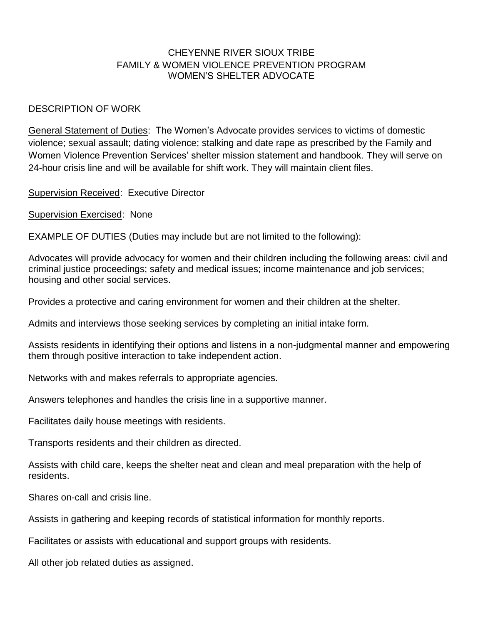## CHEYENNE RIVER SIOUX TRIBE FAMILY & WOMEN VIOLENCE PREVENTION PROGRAM WOMEN'S SHELTER ADVOCATE

## DESCRIPTION OF WORK

General Statement of Duties: The Women's Advocate provides services to victims of domestic violence; sexual assault; dating violence; stalking and date rape as prescribed by the Family and Women Violence Prevention Services' shelter mission statement and handbook. They will serve on 24-hour crisis line and will be available for shift work. They will maintain client files.

Supervision Received: Executive Director

Supervision Exercised: None

EXAMPLE OF DUTIES (Duties may include but are not limited to the following):

Advocates will provide advocacy for women and their children including the following areas: civil and criminal justice proceedings; safety and medical issues; income maintenance and job services; housing and other social services.

Provides a protective and caring environment for women and their children at the shelter.

Admits and interviews those seeking services by completing an initial intake form.

Assists residents in identifying their options and listens in a non-judgmental manner and empowering them through positive interaction to take independent action.

Networks with and makes referrals to appropriate agencies.

Answers telephones and handles the crisis line in a supportive manner.

Facilitates daily house meetings with residents.

Transports residents and their children as directed.

Assists with child care, keeps the shelter neat and clean and meal preparation with the help of residents.

Shares on-call and crisis line.

Assists in gathering and keeping records of statistical information for monthly reports.

Facilitates or assists with educational and support groups with residents.

All other job related duties as assigned.